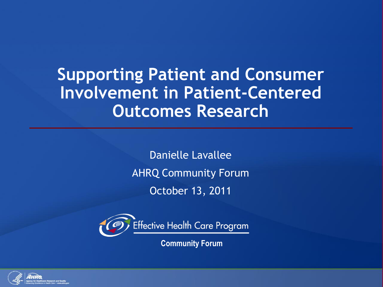# **Supporting Patient and Consumer Involvement in Patient-Centered Outcomes Research**

Danielle Lavallee AHRQ Community Forum October 13, 2011



**Community Forum**

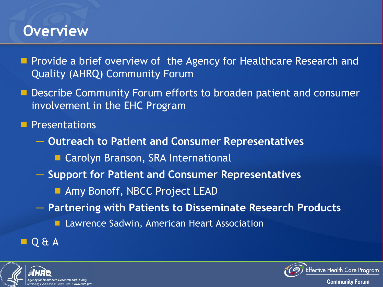### **Overview**

- **Provide a brief overview of the Agency for Healthcare Research and** Quality (AHRQ) Community Forum
- **Describe Community Forum efforts to broaden patient and consumer** involvement in the EHC Program

**Presentations** 

- ─ **Outreach to Patient and Consumer Representatives**
	- **Carolyn Branson, SRA International**
- ─ **Support for Patient and Consumer Representatives**
	- **Amy Bonoff, NBCC Project LEAD**
- ─ **Partnering with Patients to Disseminate Research Products**
	- **Lawrence Sadwin, American Heart Association**

#### $\blacksquare$  Q & A



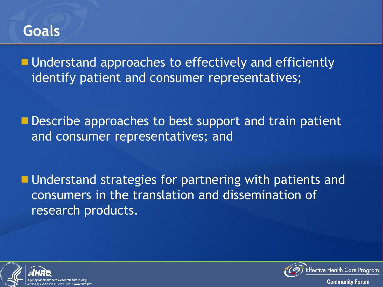#### **Goals**

**Understand approaches to effectively and efficiently** identify patient and consumer representatives;

**Describe approaches to best support and train patient** and consumer representatives; and

**Understand strategies for partnering with patients and** consumers in the translation and dissemination of research products.





Effective Health Care Program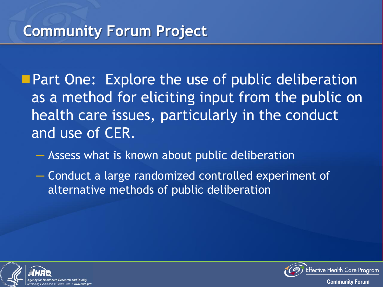**Part One: Explore the use of public deliberation** as a method for eliciting input from the public on health care issues, particularly in the conduct and use of CER.

─ Assess what is known about public deliberation

─ Conduct a large randomized controlled experiment of alternative methods of public deliberation



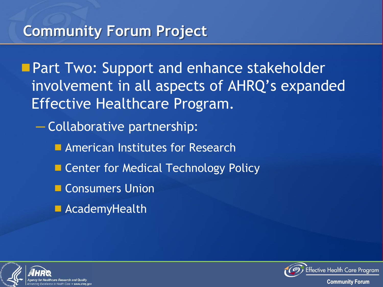## **Community Forum Project**

**Part Two: Support and enhance stakeholder** involvement in all aspects of AHRQ's expanded Effective Healthcare Program.

─ Collaborative partnership:

- **E** American Institutes for Research
- **E.** Center for Medical Technology Policy
- Consumers Union
- **AcademyHealth**



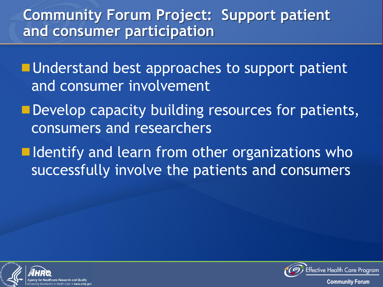## **Community Forum Project: Support patient and consumer participation**

**Understand best approaches to support patient** and consumer involvement

- Develop capacity building resources for patients, consumers and researchers
- $\blacksquare$  Identify and learn from other organizations who successfully involve the patients and consumers





ffective Health Care Program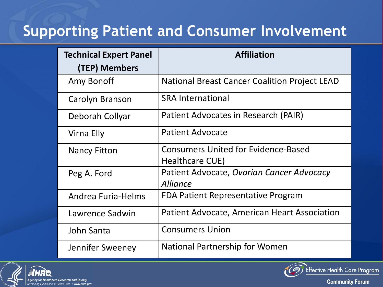## **Supporting Patient and Consumer Involvement**

| <b>Technical Expert Panel</b> | <b>Affiliation</b>                                   |
|-------------------------------|------------------------------------------------------|
| (TEP) Members                 |                                                      |
| Amy Bonoff                    | <b>National Breast Cancer Coalition Project LEAD</b> |
| Carolyn Branson               | <b>SRA International</b>                             |
| Deborah Collyar               | Patient Advocates in Research (PAIR)                 |
| Virna Elly                    | Patient Advocate                                     |
| Nancy Fitton                  | <b>Consumers United for Evidence-Based</b>           |
|                               | Healthcare CUE)                                      |
| Peg A. Ford                   | Patient Advocate, Ovarian Cancer Advocacy            |
|                               | <b>Alliance</b>                                      |
| Andrea Furia-Helms            | FDA Patient Representative Program                   |
| Lawrence Sadwin               | Patient Advocate, American Heart Association         |
| John Santa                    | <b>Consumers Union</b>                               |
| Jennifer Sweeney              | National Partnership for Women                       |





Effective Health Care Program